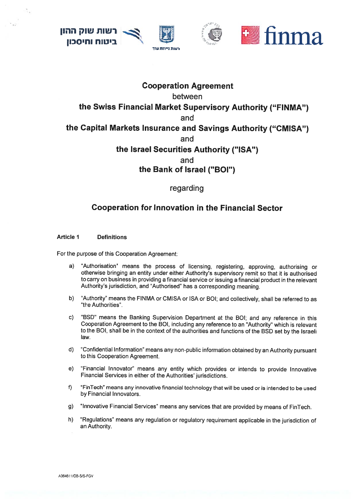ישות שוק ההון ניטוח וחיסכון







# **Cooperation Agreement** between the Swiss Financial Market Supervisory Authority ("FINMA") and the Capital Markets Insurance and Savings Authority ("CMISA") and the Israel Securities Authority ("ISA") and the Bank of Israel ("BOI")

regarding

## **Cooperation for Innovation in the Financial Sector**

**Article 1 Definitions** 

For the purpose of this Cooperation Agreement:

- "Authorisation" means the process of licensing, registering, approving, authorising or  $a)$ otherwise bringing an entity under either Authority's supervisory remit so that it is authorised to carry on business in providing a financial service or issuing a financial product in the relevant Authority's jurisdiction, and "Authorised" has a corresponding meaning.
- "Authority" means the FINMA or CMISA or ISA or BOI; and collectively, shall be referred to as  $b)$ "the Authorities".
- "BSD" means the Banking Supervision Department at the BOI; and any reference in this  $\mathbf{C}$ Cooperation Agreement to the BOI, including any reference to an "Authority" which is relevant to the BOI, shall be in the context of the authorities and functions of the BSD set by the Israeli law.
- $d)$ "Confidential Information" means any non-public information obtained by an Authority pursuant to this Cooperation Agreement.
- "Financial Innovator" means any entity which provides or intends to provide Innovative  $e)$ Financial Services in either of the Authorities' jurisdictions.
- f) "FinTech" means any innovative financial technology that will be used or is intended to be used by Financial Innovators.
- "Innovative Financial Services" means any services that are provided by means of FinTech.  $g)$
- "Regulations" means any regulation or regulatory requirement applicable in the jurisdiction of h) an Authority.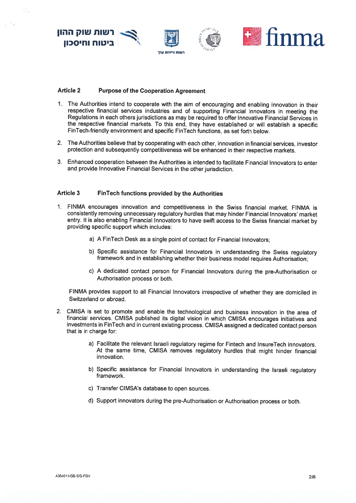

## Article <sup>2</sup> Purpose of the Cooperation Agreement

- 1. The Authorities intend to cooperate with the aim of encouraging and enabling innovation in their respective financial services industries and of supporting Financial Innovators in meeting the Regulations in each others jurisdictions as may be required to offer Innovative Financial Services in the respective financial markets. To this end, they have established or will establish <sup>a</sup> specific FinTech-friendly environment and specific FinTech functions, as set forth below.
- 2. The Authorities believe that by cooperating with each other, innovation in financial services, investor protection and subsequently competitiveness will be enhanced in their respective markets.
- 3. Lnhanced cooperation between the Authorities is intended to facilitate Financial Innovators to enter and provide Innovative Financial Services in the other jurisdiction.

### Article <sup>3</sup> FinTech functions provided by the Authorities

- 1. FINMA encourages innovation and competitiveness in the Swiss financial market. FINMA is consistently removing unnecessary regulatory hurdles that may hinder Financial lnnovators' market entry. lt is also enabling Financial Innovators to have swift access to the Swiss financial market by providing specific suppor<sup>t</sup> which includes:
	- a) <sup>A</sup> FinTech Desk as <sup>a</sup> single point of contact for Financial Innovators;
	- b) Specific assistance for Financial Innovators in understanding the Swiss regulatory framework and in establishing whether their business model requires Authorisation;
	- c) <sup>A</sup> dedicated contact person for Financial Innovators during the pre-Authorisation or Authorisation process or both.

FINMA provides suppor<sup>t</sup> to all Financial Innovators irrespective of whether they are domiciled in Switzerland or abroad.

- 2. CMISA is set to promote and enable the technological and business innovation in the area of financial services. CMISA published its digital vision in which CMISA encourages initiatives and investments in FinTech and in current existing process. CMISA assigned a dedicated contact person that is in charge for:
	- a) Facilitate the relevant Israeli regulatory regime for Fintech and InsureTech innovators. At the same time, CMISA removes regulatory hurdles that might hinder financial innovation.
	- b) Specific assistance for Financial lnnovators in understanding the Israeli regulatory framework.
	- c) Transfer CIMSA's database to open sources.
	- d) Support innovators during the pre-Authorisation or Authorisation process or both.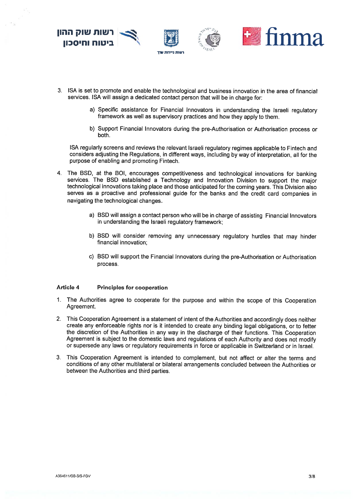

- 3. ISA is set to promote and enable the technological and business innovation in the area of financial services. ISA will assign a dedicated contact person that will be in charge for:
	- a) Specific assistance for Financial Innovators in understanding the Israeli regulatory framework as weil as supervisory practices and how they apply to them.
	- b) Support Financial Innovators during the pre-Authorisation or Authorisation process or both.

ISA regularly screens and reviews the relevant Israeli regulatory regimes applicable to Fintech and considers adjusting the Regulations, in different ways, including by way of interpretation, all for the purpose of enabling and promoting Fintech.

4. The BSD, at the BDI, encourages competitiveness and technological innovations for banking services. The BSD established <sup>a</sup> Technology and Innovation Division to suppor<sup>t</sup> the major technological innovations taking <sup>p</sup>lace and those anticipated for the coming years. This Division also serves as <sup>a</sup> proactive and professional guide for the banks and the credit card companies in navigating the technological changes.

- a) BSD will assign <sup>a</sup> contact person who will be in charge of assisting Financial Innovators in understanding the Israeli regulatory framework;
- b) BSD will consider removing any unnecessary regulatory hurdles that may hinder financial innovation;
- c) BSD will suppor<sup>t</sup> the Financial Innovators during the pre-Authorisation or Authorisation process.

#### Article <sup>4</sup> Principles for cooperation

- 1. The Authorities agree to cooperate for the purpose and within the scope of this Cooperation Agreement.
- 2. This Cooperation Agreement is <sup>a</sup> statement of intent of the Authorities and accordingly does neither create any enforceable rights nor is it intended to create any binding legal obligations, or to fetter the discretion of the Authorities in any way in the discharge of their functions. This Cooperation Agreement is subject to the domestic laws and regulations of each Authority and does not modify or supersede any laws or regulatory requirements in force or appiicable in Switzerland or in Israel.
- 3. This Cooperation Agreement is intended to compiement, but not affect ot alter the terms and conditions of any other multilateral or bilateral arrangements concluded between the Authorities or between the Authorities and third parties.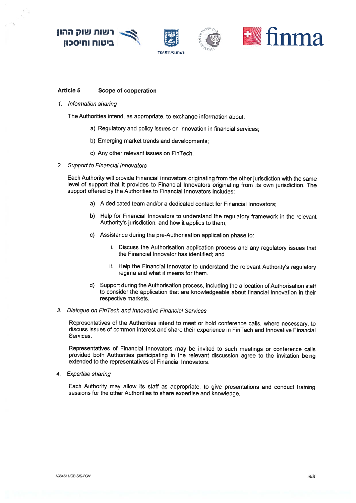



#### Article 5 Scope of cooperation

1. Information sharing

The Authorities intend, as appropriate, to exchange information about:

- a) Regulatory and policy issues on innovation in financial services;
- b) Emerging market trends and developments;
- c) Any other relevant issues on FinTech.
- 2. Support to Financial Innovators

Each Authority will provide Financial Innovators originating from the other jurisdiction with the same level of support that it provides to Financial Innovators originating from its own jurisdiction. The suppor<sup>t</sup> offered by the Authorities to Financial Innovators includes:

- a) A dedicated team and/or <sup>a</sup> dedicated contact for Financial Innovators;
- b) HeIp for Financial Innovators to understand the regulatory framework in the relevant Authority's jurisdiction, and how it applies to them;
- c) Assistance during the pre-Authorisation application <sup>p</sup>hase to:
	- i. Discuss the Authorisation application process and any regulatory issues that the Financial Innovator has identified; and
	- ii. Help the Financial Innovator to understand the relevant Authority's regulatory regime and what it means for them.
- d) Support during the Authorisation process, including the allocation of Authorisation staff to consider the application that are knowledgeable about financial innovation in their respective markets.

#### 3. Dialogue on Ein Tech and Innovative Financial Services

Representatives of the Authorities intend to meet or hold conference calls, where necessary, to discuss issues of common interest and share their experience in FinTech and Innovative Financial Services.

Representatives of Financial Innovators may be invited to such meetings or conference calls provided both Authorities participating in the relevant discussion agree to the invitation being extended to the representatives of Financial Innovators.

4. Expertise sharing

Each Authority may allow its staff as appropriate, to <sup>g</sup>ive presentations and conduct training sessions for the other Authorities to share expertise and knowledge.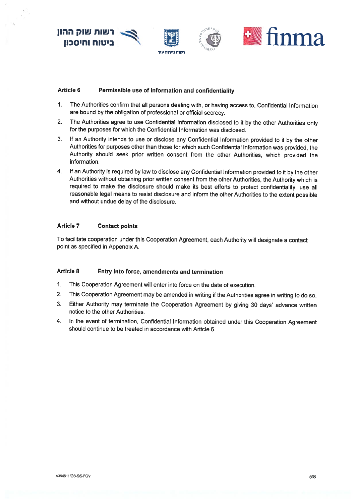

## Article 6 Permissible use of information and confidentiality

- 1. The Authorities confirm that all persons dealing with, or having access to, Confidential Information are bound by the obligation of professional or official secrecy.
- 2. The Authorities agree to use Confidential Information disclosed to it by the other Authorities only for the purposes for which the Confidential Information was disclosed.
- 3. If an Authority intends to use or disclose any Confidential Information provided to it by the other Authorities for purposes other than those for which such Confidential Information was provided, the Authority should seek prior written consent from the other Authorities, which provided the information
- 4. If an Authority is required by law to disclose any Confidential Information provided to it by the other Authorities without obtaining prior written consent from the other Authorities, the Authority which is required to make the disclosure should make its best efforts to protect confidentiality, use all reasonable legal means to resist disclosure and inform the other Authorities to the extent possible and without undue delay of the disclosure.

## Article 7 Contact points

To facilitate cooperation under this Cooperation Agreement, each Authority will designate <sup>a</sup> contact point as specified in Appendix A.

## Article 8 Entry into force, amendments and termination

- 1. This Cooperation Agreement will enter into force on the date of execution.
- 2. This Cooperation Agreement may be amended in writing if the Authorities agree in writing to do so.
- 3. Either Authority may terminate the Cooperation Agreement by <sup>g</sup>iving <sup>30</sup> days' advance written notice to the other Authorities.
- 4. In the event of termination, Confidential Information obtained under this Cooperation Agreement should continue to be treated in accordance with Article 6.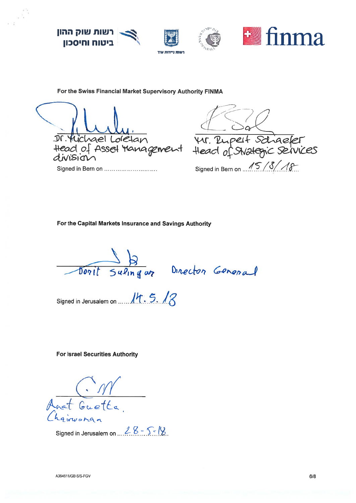

For the Swiss Financial Market Supervisory Authority FINMA

Ir. Michael Loretan<br>Head of Assel Management Head of Shateric services Signed in Bern on ..............................

Signed in Bern on 15/3/

For the Capital Markets Insurance and Savings Authority

Dorit Sulingar Director General

Signed in Jerusalem on ...... 14.5.12

**For Israel Securities Authority** 

(. 111<br>f Guetta,

Signed in Jerusalem on  $28 - 5 - 18$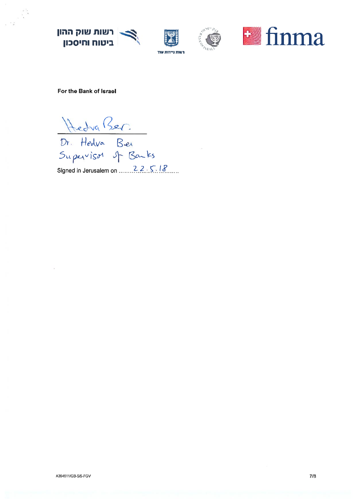| רשות שוק ההון ביטוח וחיסכון







For the Bank of Israel

Hedra Ber.<br>Dr. Hedra Ber<br>Supervisor of Banks

Signed in Jerusalem on ........ 22 5 18